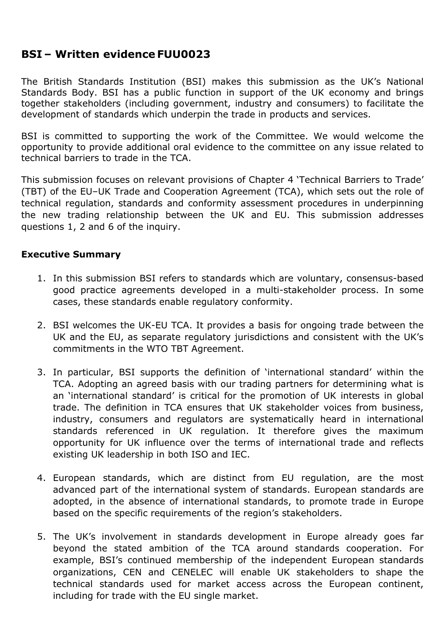# **BSI – Written evidence FUU0023**

The British Standards Institution (BSI) makes this submission as the UK's National Standards Body. BSI has a public function in support of the UK economy and brings together stakeholders (including government, industry and consumers) to facilitate the development of standards which underpin the trade in products and services.

BSI is committed to supporting the work of the Committee. We would welcome the opportunity to provide additional oral evidence to the committee on any issue related to technical barriers to trade in the TCA.

This submission focuses on relevant provisions of Chapter 4 'Technical Barriers to Trade' (TBT) of the EU–UK Trade and Cooperation Agreement (TCA), which sets out the role of technical regulation, standards and conformity assessment procedures in underpinning the new trading relationship between the UK and EU. This submission addresses questions 1, 2 and 6 of the inquiry.

## **Executive Summary**

- 1. In this submission BSI refers to standards which are voluntary, consensus-based good practice agreements developed in a multi-stakeholder process. In some cases, these standards enable regulatory conformity.
- 2. BSI welcomes the UK-EU TCA. It provides a basis for ongoing trade between the UK and the EU, as separate regulatory jurisdictions and consistent with the UK's commitments in the WTO TBT Agreement.
- 3. In particular, BSI supports the definition of 'international standard' within the TCA. Adopting an agreed basis with our trading partners for determining what is an 'international standard' is critical for the promotion of UK interests in global trade. The definition in TCA ensures that UK stakeholder voices from business, industry, consumers and regulators are systematically heard in international standards referenced in UK regulation. It therefore gives the maximum opportunity for UK influence over the terms of international trade and reflects existing UK leadership in both ISO and IEC.
- 4. European standards, which are distinct from EU regulation, are the most advanced part of the international system of standards. European standards are adopted, in the absence of international standards, to promote trade in Europe based on the specific requirements of the region's stakeholders.
- 5. The UK's involvement in standards development in Europe already goes far beyond the stated ambition of the TCA around standards cooperation. For example, BSI's continued membership of the independent European standards organizations, CEN and CENELEC will enable UK stakeholders to shape the technical standards used for market access across the European continent, including for trade with the EU single market.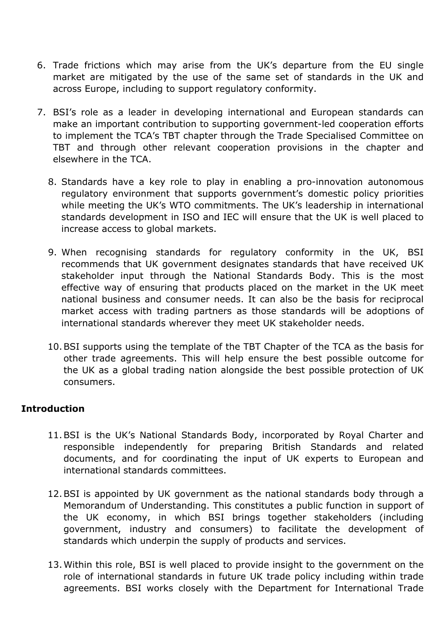- 6. Trade frictions which may arise from the UK's departure from the EU single market are mitigated by the use of the same set of standards in the UK and across Europe, including to support regulatory conformity.
- 7. BSI's role as a leader in developing international and European standards can make an important contribution to supporting government-led cooperation efforts to implement the TCA's TBT chapter through the Trade Specialised Committee on TBT and through other relevant cooperation provisions in the chapter and elsewhere in the TCA.
	- 8. Standards have a key role to play in enabling a pro-innovation autonomous regulatory environment that supports government's domestic policy priorities while meeting the UK's WTO commitments. The UK's leadership in international standards development in ISO and IEC will ensure that the UK is well placed to increase access to global markets.
	- 9. When recognising standards for regulatory conformity in the UK, BSI recommends that UK government designates standards that have received UK stakeholder input through the National Standards Body. This is the most effective way of ensuring that products placed on the market in the UK meet national business and consumer needs. It can also be the basis for reciprocal market access with trading partners as those standards will be adoptions of international standards wherever they meet UK stakeholder needs.
	- 10.BSI supports using the template of the TBT Chapter of the TCA as the basis for other trade agreements. This will help ensure the best possible outcome for the UK as a global trading nation alongside the best possible protection of UK consumers.

# **Introduction**

- 11.BSI is the UK's National Standards Body, incorporated by Royal Charter and responsible independently for preparing British Standards and related documents, and for coordinating the input of UK experts to European and international standards committees.
- 12.BSI is appointed by UK government as the national standards body through a Memorandum of Understanding. This constitutes a public function in support of the UK economy, in which BSI brings together stakeholders (including government, industry and consumers) to facilitate the development of standards which underpin the supply of products and services.
- 13.Within this role, BSI is well placed to provide insight to the government on the role of international standards in future UK trade policy including within trade agreements. BSI works closely with the Department for International Trade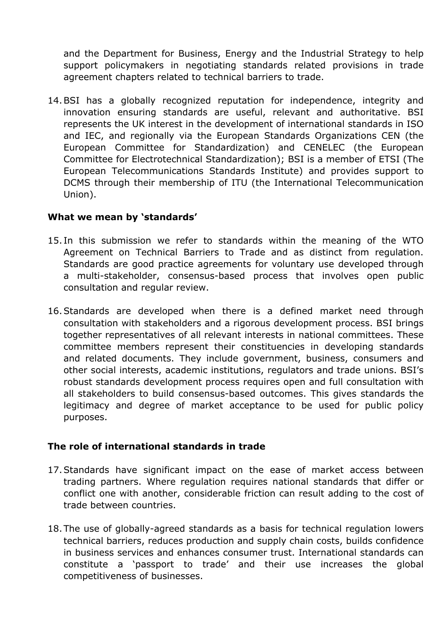and the Department for Business, Energy and the Industrial Strategy to help support policymakers in negotiating standards related provisions in trade agreement chapters related to technical barriers to trade.

14.BSI has a globally recognized reputation for independence, integrity and innovation ensuring standards are useful, relevant and authoritative. BSI represents the UK interest in the development of international standards in ISO and IEC, and regionally via the European Standards Organizations CEN (the European Committee for Standardization) and CENELEC (the European Committee for Electrotechnical Standardization); BSI is a member of ETSI (The European Telecommunications Standards Institute) and provides support to DCMS through their membership of ITU (the International Telecommunication Union).

## **What we mean by 'standards'**

- 15. In this submission we refer to standards within the meaning of the WTO Agreement on Technical Barriers to Trade and as distinct from regulation. Standards are good practice agreements for voluntary use developed through a multi-stakeholder, consensus-based process that involves open public consultation and regular review.
- 16.Standards are developed when there is a defined market need through consultation with stakeholders and a rigorous development process. BSI brings together representatives of all relevant interests in national committees. These committee members represent their constituencies in developing standards and related documents. They include government, business, consumers and other social interests, academic institutions, regulators and trade unions. BSI's robust standards development process requires open and full consultation with all stakeholders to build consensus-based outcomes. This gives standards the legitimacy and degree of market acceptance to be used for public policy purposes.

#### **The role of international standards in trade**

- 17.Standards have significant impact on the ease of market access between trading partners. Where regulation requires national standards that differ or conflict one with another, considerable friction can result adding to the cost of trade between countries.
- 18.The use of globally-agreed standards as a basis for technical regulation lowers technical barriers, reduces production and supply chain costs, builds confidence in business services and enhances consumer trust. International standards can constitute a 'passport to trade' and their use increases the global competitiveness of businesses.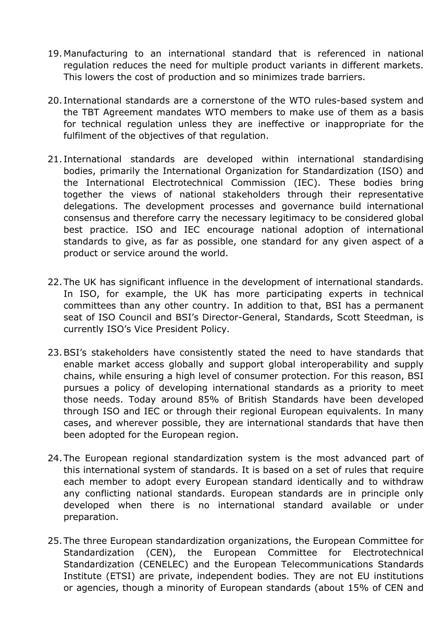- 19.Manufacturing to an international standard that is referenced in national regulation reduces the need for multiple product variants in different markets. This lowers the cost of production and so minimizes trade barriers.
- 20. International standards are a cornerstone of the WTO rules-based system and the TBT Agreement mandates WTO members to make use of them as a basis for technical regulation unless they are ineffective or inappropriate for the fulfilment of the objectives of that regulation.
- 21. International standards are developed within international standardising bodies, primarily the International Organization for Standardization (ISO) and the International Electrotechnical Commission (IEC). These bodies bring together the views of national stakeholders through their representative delegations. The development processes and governance build international consensus and therefore carry the necessary legitimacy to be considered global best practice. ISO and IEC encourage national adoption of international standards to give, as far as possible, one standard for any given aspect of a product or service around the world.
- 22.The UK has significant influence in the development of international standards. In ISO, for example, the UK has more participating experts in technical committees than any other country. In addition to that, BSI has a permanent seat of ISO Council and BSI's Director-General, Standards, Scott Steedman, is currently ISO's Vice President Policy.
- 23.BSI's stakeholders have consistently stated the need to have standards that enable market access globally and support global interoperability and supply chains, while ensuring a high level of consumer protection. For this reason, BSI pursues a policy of developing international standards as a priority to meet those needs. Today around 85% of British Standards have been developed through ISO and IEC or through their regional European equivalents. In many cases, and wherever possible, they are international standards that have then been adopted for the European region.
- 24.The European regional standardization system is the most advanced part of this international system of standards. It is based on a set of rules that require each member to adopt every European standard identically and to withdraw any conflicting national standards. European standards are in principle only developed when there is no international standard available or under preparation.
- 25.The three European standardization organizations, the European Committee for Standardization (CEN), the European Committee for Electrotechnical Standardization (CENELEC) and the European Telecommunications Standards Institute (ETSI) are private, independent bodies. They are not EU institutions or agencies, though a minority of European standards (about 15% of CEN and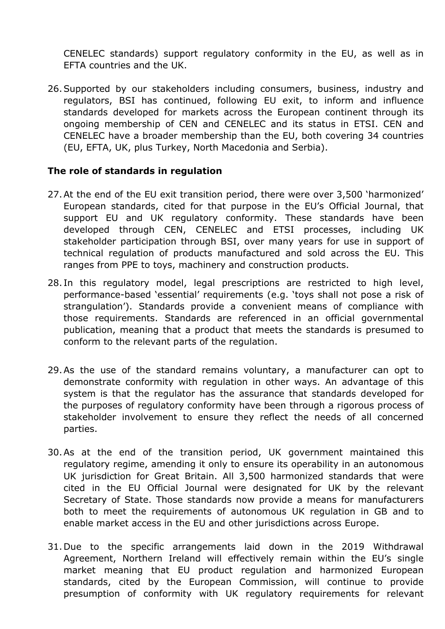CENELEC standards) support regulatory conformity in the EU, as well as in EFTA countries and the UK.

26.Supported by our stakeholders including consumers, business, industry and regulators, BSI has continued, following EU exit, to inform and influence standards developed for markets across the European continent through its ongoing membership of CEN and CENELEC and its status in ETSI. CEN and CENELEC have a broader membership than the EU, both covering 34 countries (EU, EFTA, UK, plus Turkey, North Macedonia and Serbia).

#### **The role of standards in regulation**

- 27.At the end of the EU exit transition period, there were over 3,500 'harmonized' European standards, cited for that purpose in the EU's Official Journal, that support EU and UK regulatory conformity. These standards have been developed through CEN, CENELEC and ETSI processes, including UK stakeholder participation through BSI, over many years for use in support of technical regulation of products manufactured and sold across the EU. This ranges from PPE to toys, machinery and construction products.
- 28. In this regulatory model, legal prescriptions are restricted to high level, performance-based 'essential' requirements (e.g. 'toys shall not pose a risk of strangulation'). Standards provide a convenient means of compliance with those requirements. Standards are referenced in an official governmental publication, meaning that a product that meets the standards is presumed to conform to the relevant parts of the regulation.
- 29.As the use of the standard remains voluntary, a manufacturer can opt to demonstrate conformity with regulation in other ways. An advantage of this system is that the regulator has the assurance that standards developed for the purposes of regulatory conformity have been through a rigorous process of stakeholder involvement to ensure they reflect the needs of all concerned parties.
- 30.As at the end of the transition period, UK government maintained this regulatory regime, amending it only to ensure its operability in an autonomous UK jurisdiction for Great Britain. All 3,500 harmonized standards that were cited in the EU Official Journal were designated for UK by the relevant Secretary of State. Those standards now provide a means for manufacturers both to meet the requirements of autonomous UK regulation in GB and to enable market access in the EU and other jurisdictions across Europe.
- 31.Due to the specific arrangements laid down in the 2019 Withdrawal Agreement, Northern Ireland will effectively remain within the EU's single market meaning that EU product regulation and harmonized European standards, cited by the European Commission, will continue to provide presumption of conformity with UK regulatory requirements for relevant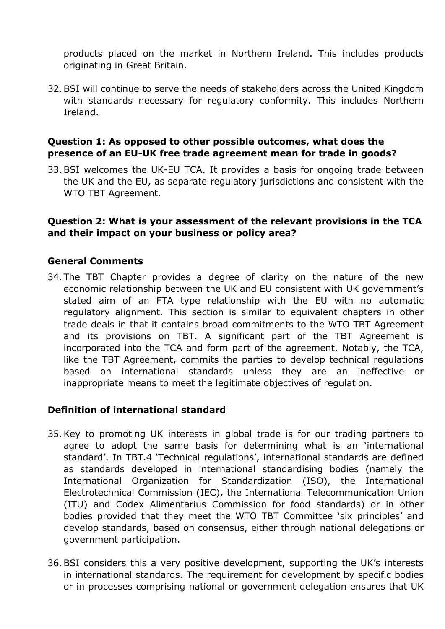products placed on the market in Northern Ireland. This includes products originating in Great Britain.

32.BSI will continue to serve the needs of stakeholders across the United Kingdom with standards necessary for regulatory conformity. This includes Northern Ireland.

## **Question 1: As opposed to other possible outcomes, what does the presence of an EU-UK free trade agreement mean for trade in goods?**

33.BSI welcomes the UK-EU TCA. It provides a basis for ongoing trade between the UK and the EU, as separate regulatory jurisdictions and consistent with the WTO TBT Agreement.

#### **Question 2: What is your assessment of the relevant provisions in the TCA and their impact on your business or policy area?**

## **General Comments**

34.The TBT Chapter provides a degree of clarity on the nature of the new economic relationship between the UK and EU consistent with UK government's stated aim of an FTA type relationship with the EU with no automatic regulatory alignment. This section is similar to equivalent chapters in other trade deals in that it contains broad commitments to the WTO TBT Agreement and its provisions on TBT. A significant part of the TBT Agreement is incorporated into the TCA and form part of the agreement. Notably, the TCA, like the TBT Agreement, commits the parties to develop technical regulations based on international standards unless they are an ineffective or inappropriate means to meet the legitimate objectives of regulation.

#### **Definition of international standard**

- 35.Key to promoting UK interests in global trade is for our trading partners to agree to adopt the same basis for determining what is an 'international standard'. In TBT.4 'Technical regulations', international standards are defined as standards developed in international standardising bodies (namely the International Organization for Standardization (ISO), the International Electrotechnical Commission (IEC), the International Telecommunication Union (ITU) and Codex Alimentarius Commission for food standards) or in other bodies provided that they meet the WTO TBT Committee 'six principles' and develop standards, based on consensus, either through national delegations or government participation.
- 36.BSI considers this a very positive development, supporting the UK's interests in international standards. The requirement for development by specific bodies or in processes comprising national or government delegation ensures that UK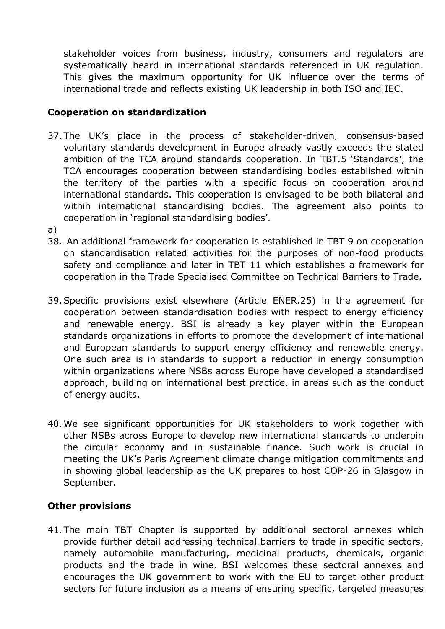stakeholder voices from business, industry, consumers and regulators are systematically heard in international standards referenced in UK regulation. This gives the maximum opportunity for UK influence over the terms of international trade and reflects existing UK leadership in both ISO and IEC.

## **Cooperation on standardization**

- 37.The UK's place in the process of stakeholder-driven, consensus-based voluntary standards development in Europe already vastly exceeds the stated ambition of the TCA around standards cooperation. In TBT.5 'Standards', the TCA encourages cooperation between standardising bodies established within the territory of the parties with a specific focus on cooperation around international standards. This cooperation is envisaged to be both bilateral and within international standardising bodies. The agreement also points to cooperation in 'regional standardising bodies'.
- a)
- 38. An additional framework for cooperation is established in TBT 9 on cooperation on standardisation related activities for the purposes of non-food products safety and compliance and later in TBT 11 which establishes a framework for cooperation in the Trade Specialised Committee on Technical Barriers to Trade.
- 39.Specific provisions exist elsewhere (Article ENER.25) in the agreement for cooperation between standardisation bodies with respect to energy efficiency and renewable energy. BSI is already a key player within the European standards organizations in efforts to promote the development of international and European standards to support energy efficiency and renewable energy. One such area is in standards to support a reduction in energy consumption within organizations where NSBs across Europe have developed a standardised approach, building on international best practice, in areas such as the conduct of energy audits.
- 40.We see significant opportunities for UK stakeholders to work together with other NSBs across Europe to develop new international standards to underpin the circular economy and in sustainable finance. Such work is crucial in meeting the UK's Paris Agreement climate change mitigation commitments and in showing global leadership as the UK prepares to host COP-26 in Glasgow in September.

# **Other provisions**

41.The main TBT Chapter is supported by additional sectoral annexes which provide further detail addressing technical barriers to trade in specific sectors, namely automobile manufacturing, medicinal products, chemicals, organic products and the trade in wine. BSI welcomes these sectoral annexes and encourages the UK government to work with the EU to target other product sectors for future inclusion as a means of ensuring specific, targeted measures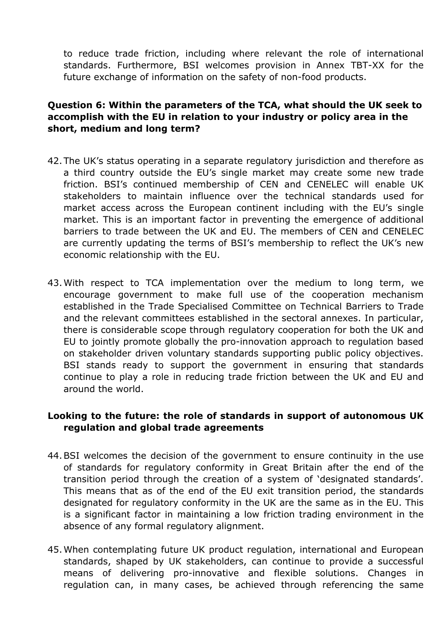to reduce trade friction, including where relevant the role of international standards. Furthermore, BSI welcomes provision in Annex TBT-XX for the future exchange of information on the safety of non-food products.

# **Question 6: Within the parameters of the TCA, what should the UK seek to accomplish with the EU in relation to your industry or policy area in the short, medium and long term?**

- 42.The UK's status operating in a separate regulatory jurisdiction and therefore as a third country outside the EU's single market may create some new trade friction. BSI's continued membership of CEN and CENELEC will enable UK stakeholders to maintain influence over the technical standards used for market access across the European continent including with the EU's single market. This is an important factor in preventing the emergence of additional barriers to trade between the UK and EU. The members of CEN and CENELEC are currently updating the terms of BSI's membership to reflect the UK's new economic relationship with the EU.
- 43.With respect to TCA implementation over the medium to long term, we encourage government to make full use of the cooperation mechanism established in the Trade Specialised Committee on Technical Barriers to Trade and the relevant committees established in the sectoral annexes. In particular, there is considerable scope through regulatory cooperation for both the UK and EU to jointly promote globally the pro-innovation approach to regulation based on stakeholder driven voluntary standards supporting public policy objectives. BSI stands ready to support the government in ensuring that standards continue to play a role in reducing trade friction between the UK and EU and around the world.

# **Looking to the future: the role of standards in support of autonomous UK regulation and global trade agreements**

- 44.BSI welcomes the decision of the government to ensure continuity in the use of standards for regulatory conformity in Great Britain after the end of the transition period through the creation of a system of 'designated standards'. This means that as of the end of the EU exit transition period, the standards designated for regulatory conformity in the UK are the same as in the EU. This is a significant factor in maintaining a low friction trading environment in the absence of any formal regulatory alignment.
- 45.When contemplating future UK product regulation, international and European standards, shaped by UK stakeholders, can continue to provide a successful means of delivering pro-innovative and flexible solutions. Changes in regulation can, in many cases, be achieved through referencing the same